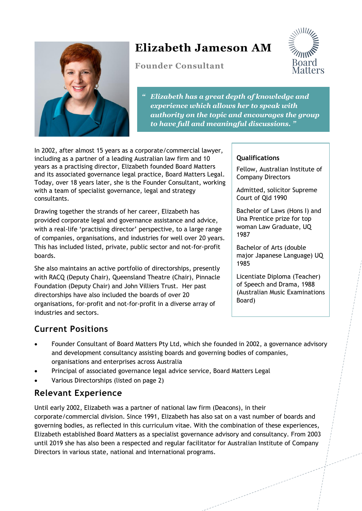

# **Elizabeth Jameson AM**

**Founder Consultant**



*" Elizabeth has a great depth of knowledge and experience which allows her to speak with authority on the topic and encourages the group to have full and meaningful discussions. "* 

In 2002, after almost 15 years as a corporate/commercial lawyer, including as a partner of a leading Australian law firm and 10 years as a practising director, Elizabeth founded Board Matters and its associated governance legal practice, Board Matters Legal. Today, over 18 years later, she is the Founder Consultant, working with a team of specialist governance, legal and strategy consultants.

Drawing together the strands of her career, Elizabeth has provided corporate legal and governance assistance and advice, with a real-life 'practising director' perspective, to a large range of companies, organisations, and industries for well over 20 years. This has included listed, private, public sector and not-for-profit boards.

She also maintains an active portfolio of directorships, presently with RACQ (Deputy Chair), Queensland Theatre (Chair), Pinnacle Foundation (Deputy Chair) and John Villiers Trust. Her past directorships have also included the boards of over 20 organisations, for-profit and not-for-profit in a diverse array of industries and sectors.

#### **Qualifications**

Fellow, Australian Institute of Company Directors

Admitted, solicitor Supreme Court of Qld 1990

Bachelor of Laws (Hons I) and Una Prentice prize for top woman Law Graduate, UQ 1987

Bachelor of Arts (double major Japanese Language) UQ 1985

Licentiate Diploma (Teacher) of Speech and Drama, 1988 (Australian Music Examinations Board)

### **Current Positions**

- Founder Consultant of Board Matters Pty Ltd, which she founded in 2002, a governance advisory and development consultancy assisting boards and governing bodies of companies, organisations and enterprises across Australia
- Principal of associated governance legal advice service, Board Matters Legal
- Various Directorships (listed on page 2)

#### **Relevant Experience**

Until early 2002, Elizabeth was a partner of national law firm (Deacons), in their corporate/commercial division. Since 1991, Elizabeth has also sat on a vast number of boards and governing bodies, as reflected in this curriculum vitae. With the combination of these experiences, Elizabeth established Board Matters as a specialist governance advisory and consultancy. From 2003 until 2019 she has also been a respected and regular facilitator for Australian Institute of Company Directors in various state, national and international programs.